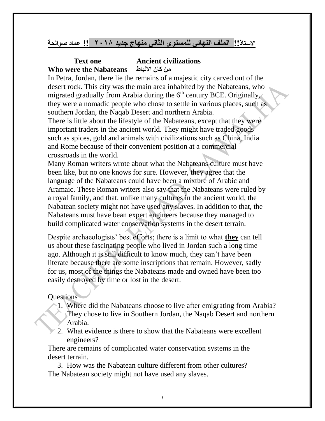#### **االستاذ!! الملف النهائي للمستوى الثاني منهاج جديد 2018 !! عماد صوالحة**

#### **Text one Ancient civilizations Who were the Nabateans االنباط كان من**

In Petra, Jordan, there lie the remains of a majestic city carved out of the desert rock. This city was the main area inhabited by the Nabateans, who migrated gradually from Arabia during the  $6<sup>th</sup>$  century BCE. Originally, they were a nomadic people who chose to settle in various places, such as southern Jordan, the Naqab Desert and northern Arabia.

There is little about the lifestyle of the Nabateans, except that they were important traders in the ancient world. They might have traded goods such as spices, gold and animals with civilizations such as China, India and Rome because of their convenient position at a commercial crossroads in the world.

Many Roman writers wrote about what the Nabateans culture must have been like, but no one knows for sure. However, they agree that the language of the Nabateans could have been a mixture of Arabic and Aramaic. These Roman writers also say that the Nabateans were ruled by a royal family, and that, unlike many cultures in the ancient world, the Nabatean society might not have used any slaves. In addition to that, the Nabateans must have bean expert engineers because they managed to build complicated water conservation systems in the desert terrain.

Despite archaeologists' best efforts; there is a limit to what **they** can tell us about these fascinating people who lived in Jordan such a long time ago. Although it is still difficult to know much, they can't have been literate because there are some inscriptions that remain. However, sadly for us, most of the things the Nabateans made and owned have been too easily destroyed by time or lost in the desert.

#### **Ouestions**

- 1. Where did the Nabateans choose to live after emigrating from Arabia? They chose to live in Southern Jordan, the Naqab Desert and northern Arabia.
- 2. What evidence is there to show that the Nabateans were excellent engineers?

There are remains of complicated water conservation systems in the desert terrain.

3. How was the Nabatean culture different from other cultures? The Nabatean society might not have used any slaves.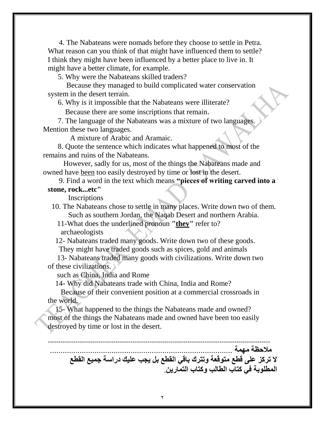4. The Nabateans were nomads before they choose to settle in Petra. What reason can you think of that might have influenced them to settle? I think they might have been influenced by a better place to live in. It might have a better climate, for example.

5. Why were the Nabateans skilled traders?

 Because they managed to build complicated water conservation system in the desert terrain.

6. Why is it impossible that the Nabateans were illiterate?

Because there are some inscriptions that remain.

 7. The language of the Nabateans was a mixture of two languages. Mention these two languages.

A mixture of Arabic and Aramaic.

 8. Quote the sentence which indicates what happened to most of the remains and ruins of the Nabateans.

 However, sadly for us, most of the things the Nabateans made and owned have been too easily destroyed by time or lost in the desert.

 9. Find a word in the text which means **"pieces of writing carved into a stone, rock...etc"**

Inscriptions

 10. The Nabateans chose to settle in many places. Write down two of them. Such as southern Jordan, the Naqab Desert and northern Arabia.

 11-What does the underlined pronoun **"they"** refer to? archaeologists

 12- Nabateans traded many goods. Write down two of these goods. They might have traded goods such as spices, gold and animals

 13- Nabateans traded many goods with civilizations. Write down two of these civilizations.

such as China, India and Rome

14- Why did Nabateans trade with China, India and Rome?

Because of their convenient position at a commercial crossroads in the world.

 15- What happened to the things the Nabateans made and owned? most of the things the Nabateans made and owned have been too easily destroyed by time or lost in the desert.

--------------------------------------------------------------------------------------------------------- ملا**حظ**ة مهمة **ال تركز على قطع متوقعة وتترك باقي القطع بل يجب عليك دراسة جميع القطع المطلوبة في كتاب الطالب وكتاب التمارين**.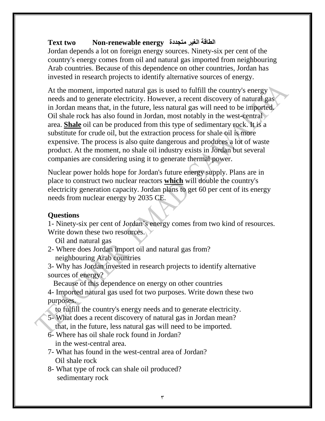#### **Text two Non-renewable energy متجددة الغير الطاقة**

Jordan depends a lot on foreign energy sources. Ninety-six per cent of the country's energy comes from oil and natural gas imported from neighbouring Arab countries. Because of this dependence on other countries, Jordan has invested in research projects to identify alternative sources of energy.

At the moment, imported natural gas is used to fulfill the country's energy needs and to generate electricity. However, a recent discovery of natural gas in Jordan means that, in the future, less natural gas will need to be imported. Oil shale rock has also found in Jordan, most notably in the west-central area. **Shale** oil can be produced from this type of sedimentary rock. It is a substitute for crude oil, but the extraction process for shale oil is more expensive. The process is also quite dangerous and produces a lot of waste product. At the moment, no shale oil industry exists in Jordan but several companies are considering using it to generate thermal power.

Nuclear power holds hope for Jordan's future energy supply. Plans are in place to construct two nuclear reactors **which** will double the country's electricity generation capacity. Jordan plans to get 60 per cent of its energy needs from nuclear energy by 2035 CE.

#### **Questions**

1- Ninety-six per cent of Jordan's energy comes from two kind of resources. Write down these two resources.

Oil and natural gas

- 2- Where does Jordan import oil and natural gas from? neighbouring Arab countries
- 3- Why has Jordan invested in research projects to identify alternative sources of energy?

Because of this dependence on energy on other countries

4- Imported natural gas used fot two purposes. Write down these two purposes.

- to fulfill the country's energy needs and to generate electricity.
- 5- What does a recent discovery of natural gas in Jordan mean?

that, in the future, less natural gas will need to be imported.

- 6- Where has oil shale rock found in Jordan? in the west-central area.
- 7- What has found in the west-central area of Jordan? Oil shale rock
- 8- What type of rock can shale oil produced? sedimentary rock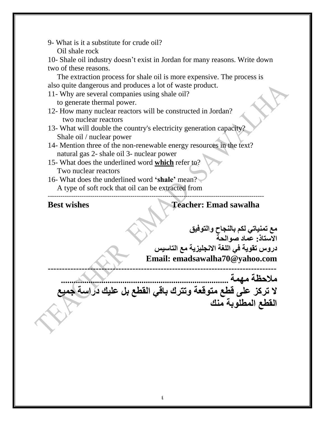9- What is it a substitute for crude oil? Oil shale rock

10- Shale oil industry doesn't exist in Jordan for many reasons. Write down two of these reasons.

 The extraction process for shale oil is more expensive. The process is also quite dangerous and produces a lot of waste product.

11- Why are several companies using shale oil?

to generate thermal power.

- 12- How many nuclear reactors will be constructed in Jordan? two nuclear reactors
- 13- What will double the country's electricity generation capacity? Shale oil / nuclear power
- 14- Mention three of the non-renewable energy resources in the text? natural gas 2- shale oil 3- nuclear power
- 15- What does the underlined word **which** refer to? Two nuclear reactors
- 16- What does the underlined word **'shale'** mean? A type of soft rock that oil can be extracted from ------------------------------------------------------------------------------------------------------

**Best wishes Teacher: Emad sawalha** 

**مع تمنياتي لكم بالنجاح والتوفيق االستاذ: عماد صوالحة دروس تقوية في اللغة االنجليزية مع التاسيس Email: emadsawalha70@yahoo.com ---------------------------------------------------------------------------------**

**ملاحظة مهمة .. ال تركز على قطع متوقعة وتترك باقي القطع بل عليك دراسة جميع القطع المطلوبة منك**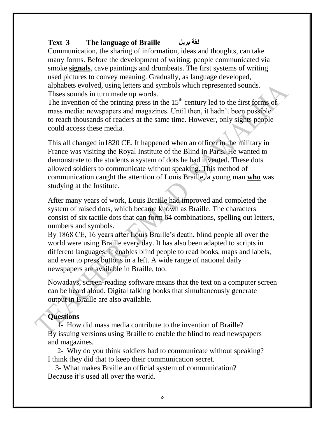#### **Text 3 The language of Braille بريل لغة**

Communication, the sharing of information, ideas and thoughts, can take many forms. Before the development of writing, people communicated via smoke **signals**, cave paintings and drumbeats. The first systems of writing used pictures to convey meaning. Gradually, as language developed, alphabets evolved, using letters and symbols which represented sounds. Thses sounds in turn made up words.

The invention of the printing press in the  $15<sup>th</sup>$  century led to the first forms of mass media: newspapers and magazines. Until then, it hadn't been possible to reach thousands of readers at the same time. However, only sights people could access these media.

This all changed in1820 CE. It happened when an officer in the military in France was visiting the Royal Institute of the Blind in Paris. He wanted to demonstrate to the students a system of dots he had invented. These dots allowed soldiers to communicate without speaking. This method of communication caught the attention of Louis Braille, a young man **who** was studying at the Institute.

After many years of work, Louis Braille had improved and completed the system of raised dots, which became known as Braille. The characters consist of six tactile dots that can form 64 combinations, spelling out letters, numbers and symbols.

By 1868 CE, 16 years after Louis Braille's death, blind people all over the world were using Braille every day. It has also been adapted to scripts in different languages. It enables blind people to read books, maps and labels, and even to press buttons in a left. A wide range of national daily newspapers are available in Braille, too.

Nowadays, screen-reading software means that the text on a computer screen can be heard aloud. Digital talking books that simultaneously generate output in Braille are also available.

#### **Questions**

1- How did mass media contribute to the invention of Braille? By issuing versions using Braille to enable the blind to read newspapers and magazines.

2- Why do you think soldiers had to communicate without speaking? I think they did that to keep their communication secret.

 3- What makes Braille an official system of communication? Because it's used all over the world.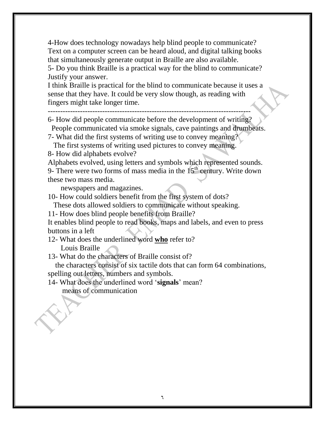4-How does technology nowadays help blind people to communicate? Text on a computer screen can be heard aloud, and digital talking books that simultaneously generate output in Braille are also available.

5- Do you think Braille is a practical way for the blind to communicate? Justify your answer.

I think Braille is practical for the blind to communicate because it uses a sense that they have. It could be very slow though, as reading with fingers might take longer time.

----------------------------------------------------------------------------------

6- How did people communicate before the development of writing? People communicated via smoke signals, cave paintings and drumbeats.

7- What did the first systems of writing use to convey meaning?

The first systems of writing used pictures to convey meaning.

8- How did alphabets evolve?

Alphabets evolved, using letters and symbols which represented sounds. 9- There were two forms of mass media in the  $15<sup>th</sup>$  century. Write down these two mass media.

newspapers and magazines.

10- How could soldiers benefit from the first system of dots?

These dots allowed soldiers to communicate without speaking.

11- How does blind people benefits from Braille?

It enables blind people to read books, maps and labels, and even to press buttons in a left

12- What does the underlined word **who** refer to? Louis Braille

13- What do the characters of Braille consist of?

 the characters consist of six tactile dots that can form 64 combinations, spelling out letters, numbers and symbols.

14- What does the underlined word '**signals**' mean? means of communication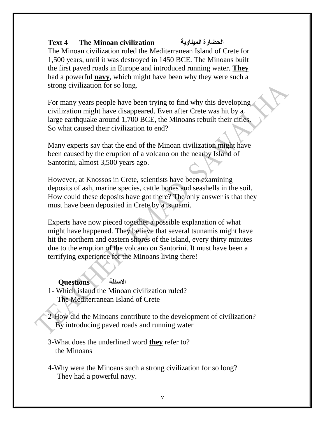## **Text 4 The Minoan civilization الميناوية الحضارة**

The Minoan civilization ruled the Mediterranean Island of Crete for 1,500 years, until it was destroyed in 1450 BCE. The Minoans built the first paved roads in Europe and introduced running water. **They** had a powerful **navy**, which might have been why they were such a strong civilization for so long.

For many years people have been trying to find why this developing civilization might have disappeared. Even after Crete was hit by a large earthquake around 1,700 BCE, the Minoans rebuilt their cities. So what caused their civilization to end?

Many experts say that the end of the Minoan civilization might have been caused by the eruption of a volcano on the nearby Island of Santorini, almost 3,500 years ago.

However, at Knossos in Crete, scientists have been examining deposits of ash, marine species, cattle bones and seashells in the soil. How could these deposits have got there? The only answer is that they must have been deposited in Crete by a tsunami.

Experts have now pieced together a possible explanation of what might have happened. They believe that several tsunamis might have hit the northern and eastern shores of the island, every thirty minutes due to the eruption of the volcano on Santorini. It must have been a terrifying experience for the Minoans living there!

#### **االسئلة Questions**

- 1- Which island the Minoan civilization ruled? The Mediterranean Island of Crete
- 2-How did the Minoans contribute to the development of civilization? By introducing paved roads and running water
- 3-What does the underlined word **they** refer to? the Minoans
- 4-Why were the Minoans such a strong civilization for so long? They had a powerful navy.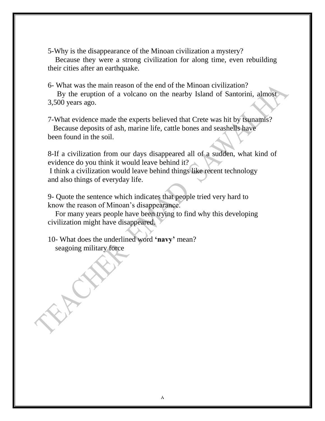5-Why is the disappearance of the Minoan civilization a mystery?

 Because they were a strong civilization for along time, even rebuilding their cities after an earthquake.

6- What was the main reason of the end of the Minoan civilization?

 By the eruption of a volcano on the nearby Island of Santorini, almost 3,500 years ago.

7-What evidence made the experts believed that Crete was hit by tsunamis? Because deposits of ash, marine life, cattle bones and seashells have been found in the soil.

8-If a civilization from our days disappeared all of a sudden, what kind of evidence do you think it would leave behind it?

I think a civilization would leave behind things like recent technology and also things of everyday life.

9- Quote the sentence which indicates that people tried very hard to know the reason of Minoan's disappearance.

 For many years people have been trying to find why this developing civilization might have disappeared.

10- What does the underlined word **'navy'** mean? seagoing military force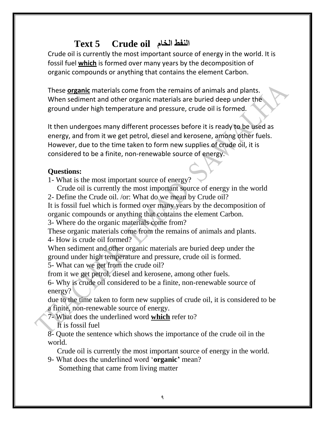# **Text 5 Crude oil الخام النفط**

Crude oil is currently the most important source of energy in the world. It is fossil fuel **which** is formed over many years by the decomposition of organic compounds or anything that contains the element Carbon.

These **organic** materials come from the remains of animals and plants. When sediment and other organic materials are buried deep under the ground under high temperature and pressure, crude oil is formed.

It then undergoes many different processes before it is ready to be used as energy, and from it we get petrol, diesel and kerosene, among other fuels. However, due to the time taken to form new supplies of crude oil, it is considered to be a finite, non-renewable source of energy.

#### **Questions:**

1- What is the most important source of energy?

 Crude oil is currently the most important source of energy in the world 2- Define the Crude oil. /or: What do we mean by Crude oil?

It is fossil fuel which is formed over many years by the decomposition of organic compounds or anything that contains the element Carbon.

3- Where do the organic materials come from?

These organic materials come from the remains of animals and plants.

4- How is crude oil formed?

When sediment and other organic materials are buried deep under the ground under high temperature and pressure, crude oil is formed.

5- What can we get from the crude oil?

from it we get petrol, diesel and kerosene, among other fuels.

6- Why is crude oil considered to be a finite, non-renewable source of energy?

due to the time taken to form new supplies of crude oil, it is considered to be a finite, non-renewable source of energy.

7- What does the underlined word **which** refer to?

It is fossil fuel

8- Quote the sentence which shows the importance of the crude oil in the world.

Crude oil is currently the most important source of energy in the world.

9- What does the underlined word '**organic'** mean? Something that came from living matter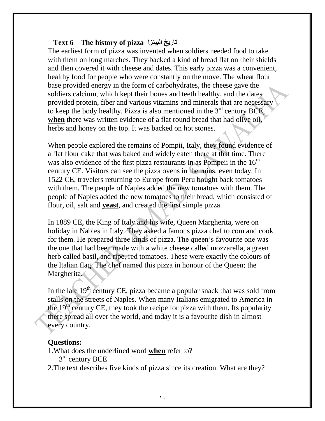#### **Text 6 The history of pizza البيتزا تاريخ**

The earliest form of pizza was invented when soldiers needed food to take with them on long marches. They backed a kind of bread flat on their shields and then covered it with cheese and dates. This early pizza was a convenient, healthy food for people who were constantly on the move. The wheat flour base provided energy in the form of carbohydrates, the cheese gave the soldiers calcium, which kept their bones and teeth healthy, and the dates provided protein, fiber and various vitamins and minerals that are necessary to keep the body healthy. Pizza is also mentioned in the  $3<sup>rd</sup>$  century BCE, **when** there was written evidence of a flat round bread that had olive oil, herbs and honey on the top. It was backed on hot stones.

When people explored the remains of Pompii, Italy, they found evidence of a flat flour cake that was baked and widely eaten there at that time. There was also evidence of the first pizza restaurants in as Pompeii in the  $16<sup>th</sup>$ century CE. Visitors can see the pizza ovens in the ruins, even today. In 1522 CE, travelers returning to Europe from Peru bought back tomatoes with them. The people of Naples added the new tomatoes with them. The people of Naples added the new tomatoes to their bread, which consisted of flour, oil, salt and **yeast**, and created the first simple pizza.

In 1889 CE, the King of Italy and his wife, Queen Margherita, were on holiday in Nables in Italy. They asked a famous pizza chef to com and cook for them. He prepared three kinds of pizza. The queen's favourite one was the one that had been made with a white cheese called mozzarella, a green herb called basil, and ripe, red tomatoes. These were exactly the colours of the Italian flag. The chef named this pizza in honour of the Queen; the Margherita.

In the late  $19<sup>th</sup>$  century CE, pizza became a popular snack that was sold from stalls on the streets of Naples. When many Italians emigrated to America in the 19<sup>th</sup> century CE, they took the recipe for pizza with them. Its popularity there spread all over the world, and today it is a favourite dish in almost every country.

#### **Questions:**

- 1.What does the underlined word **when** refer to?
- 3<sup>rd</sup> century BCE

2.The text describes five kinds of pizza since its creation. What are they?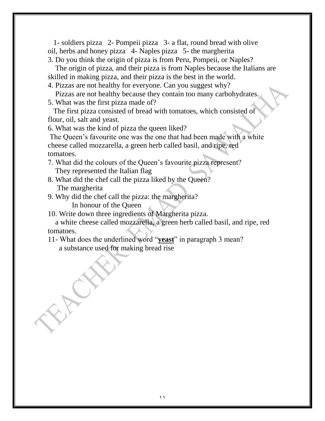1- soldiers pizza 2- Pompeii pizza 3- a flat, round bread with olive oil, herbs and honey pizza 4- Naples pizza 5- the margherita

3. Do you think the origin of pizza is from Peru, Pompeii, or Naples?

 The origin of pizza, and their pizza is from Naples because the Italians are skilled in making pizza, and their pizza is the best in the world.

4. Pizzas are not healthy for everyone. Can you suggest why?

Pizzas are not healthy because they contain too many carbohydrates.

5. What was the first pizza made of?

 The first pizza consisted of bread with tomatoes, which consisted of flour, oil, salt and yeast.

6. What was the kind of pizza the queen liked?

The Queen's favourite one was the one that had been made with a white cheese called mozzarella, a green herb called basil, and ripe, red tomatoes.

- 7. What did the colours of the Queen's favourite pizza represent? They represented the Italian flag
- 8. What did the chef call the pizza liked by the Queen? The margherita
- 9. Why did the chef call the pizza: the margherita?

In honour of the Queen

10. Write down three ingredients of Margherita pizza.

 a white cheese called mozzarella, a green herb called basil, and ripe, red tomatoes.

11- What does the underlined word "**yeast**" in paragraph 3 mean? a substance used for making bread rise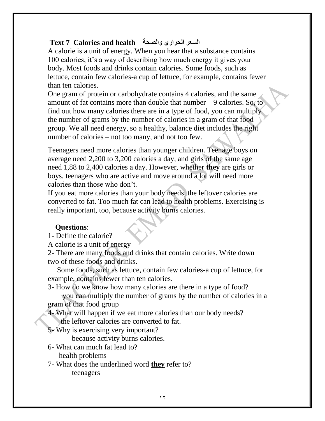## **Text 7 Calories and health والصحة الحراري السعر**

A calorie is a unit of energy. When you hear that a substance contains 100 calories, it's a way of describing how much energy it gives your body. Most foods and drinks contain calories. Some foods, such as lettuce, contain few calories-a cup of lettuce, for example, contains fewer than ten calories.

One gram of protein or carbohydrate contains 4 calories, and the same amount of fat contains more than double that number – 9 calories. So, to find out how many calories there are in a type of food, you can multiply the number of grams by the number of calories in a gram of that food group. We all need energy, so a healthy, balance diet includes the right number of calories – not too many, and not too few.

Teenagers need more calories than younger children. Teenage boys on average need 2,200 to 3,200 calories a day, and girls of the same age need 1,88 to 2,400 calories a day. However, whether **they** are girls or boys, teenagers who are active and move around a lot will need more calories than those who don't.

If you eat more calories than your body needs, the leftover calories are converted to fat. Too much fat can lead to health problems. Exercising is really important, too, because activity burns calories.

## **Questions**:

1- Define the calorie?

A calorie is a unit of energy

2- There are many foods and drinks that contain calories. Write down two of these foods and drinks.

 Some foods, such as lettuce, contain few calories-a cup of lettuce, for example, contains fewer than ten calories.

3- How do we know how many calories are there in a type of food?

 you can multiply the number of grams by the number of calories in a gram of that food group

4- What will happen if we eat more calories than our body needs? the leftover calories are converted to fat.

5- Why is exercising very important?

because activity burns calories.

- 6- What can much fat lead to? health problems
- 7- What does the underlined word **they** refer to? teenagers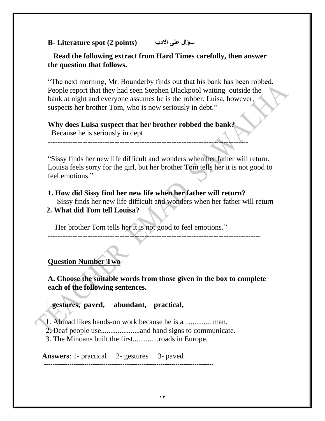## **B- Literature spot (2 points) االدب على سؤال**

#### **Read the following extract from Hard Times carefully, then answer the question that follows.**

"The next morning, Mr. Bounderby finds out that his bank has been robbed. People report that they had seen Stephen Blackpool waiting outside the bank at night and everyone assumes he is the robber. Luisa, however, suspects her brother Tom, who is now seriously in debt."

#### **Why does Luisa suspect that her brother robbed the bank?**

Because he is seriously in dept

**---------------------------------------------------------------------------------**

"Sissy finds her new life difficult and wonders when her father will return. Louisa feels sorry for the girl, but her brother Tom tells her it is not good to feel emotions."

**1. How did Sissy find her new life when her father will return?** Sissy finds her new life difficult and wonders when her father will return **2. What did Tom tell Louisa?**

Her brother Tom tells her it is not good to feel emotions."

## **Question Number Two**

**A. Choose the suitable words from those given in the box to complete each of the following sentences.** 

--------------------------------------------------------------------------------------

 **gestures, paved, abundant, practical,** 

1. Ahmad likes hands-on work because he is a .............. man.

2. Deaf people use.....................and hand signs to communicate.

3. The Minoans built the first..............roads in Europe.

**Answers:** 1- practical 2- gestures 3- paved --------------------------------------------------------------------------------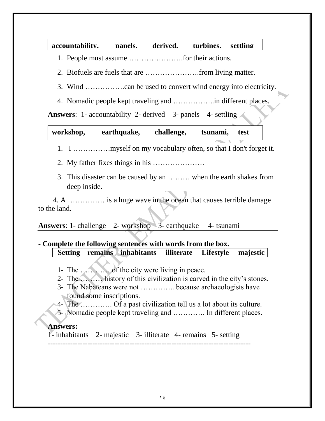#### **accountability, panels, derived, turbines, settling**

- 1. People must assume ………………….for their actions.
- 2. Biofuels are fuels that are ………………….from living matter.
- 3. Wind …………….can be used to convert wind energy into electricity.
- 4. Nomadic people kept traveling and ……………..in different places.

**Answers:** 1- accountability 2- derived 3- panels 4- settling

| workshop, | earthquake, | challenge, | tsunami, | test |
|-----------|-------------|------------|----------|------|
|           |             |            |          |      |

- 1. I ……………myself on my vocabulary often, so that I don't forget it.
- 2. My father fixes things in his …………………
- 3. This disaster can be caused by an ……… when the earth shakes from deep inside.

 4. A …………… is a huge wave in the ocean that causes terrible damage to the land.

**Answers:** 1- challenge 2- workshop 3- earthquake 4- tsunami

#### **- Complete the following sentences with words from the box. Setting remains inhabitants illiterate Lifestyle majestic**

- 1- The ………… of the city were living in peace.
- 2- The ……… history of this civilization is carved in the city's stones.
- 3- The Nabateans were not ………….. because archaeologists have found some inscriptions.
- 4- The …………. Of a past civilization tell us a lot about its culture.
- 5- Nomadic people kept traveling and …………. In different places.

#### **Answers:**

1- inhabitants 2- majestic 3- illiterate 4- remains 5- setting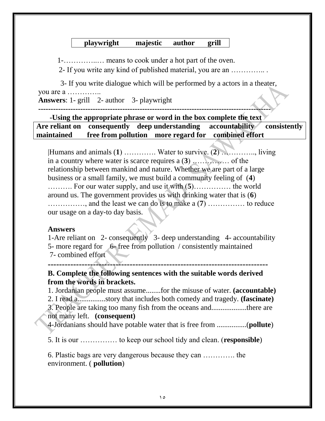#### **playwright majestic author grill**

1-…………..… means to cook under a hot part of the oven.

2- If you write any kind of published material, you are an ………….. .

 3- If you write dialogue which will be performed by a actors in a theater, you are a …………..

**Answers**: 1- grill 2- author 3- playwright

**----------------------------------------------------------------------------------------------**

**-Using the appropriate phrase or word in the box complete the text Are reliant on consequently deep understanding accountability consistently maintained free from pollution more regard for combined effort** 

|Humans and animals (**1**) …………. Water to survive. (**2**) ………….., living in a country where water is scarce requires a (**3**) …………… of the relationship between mankind and nature. Whether we are part of a large business or a small family, we must build a community feeling of (**4**) ………. For our water supply, and use it with (**5**)…………… the world around us. The government provides us with drinking water that is (**6**) ……………, and the least we can do is to make a (**7**) …………… to reduce our usage on a day-to day basis.

#### **Answers**

1-Are reliant on 2- consequently 3- deep understanding 4- accountability 5- more regard for 6- free from pollution / consistently maintained 7- combined effort

**------------------------------------------------------------------------------**

#### **B. Complete the following sentences with the suitable words derived from the words in brackets.**

1. Jordanian people must assume........for the misuse of water. **(accountable)**

2. I read a...............story that includes both comedy and tragedy. **(fascinate)**

3. People are taking too many fish from the oceans and...................there are not many left. **(consequent)**

4-Jordanians should have potable water that is free from ................(**pollute**)

5. It is our …………… to keep our school tidy and clean. (**responsible**)

6. Plastic bags are very dangerous because they can …………. the environment. ( **pollution**)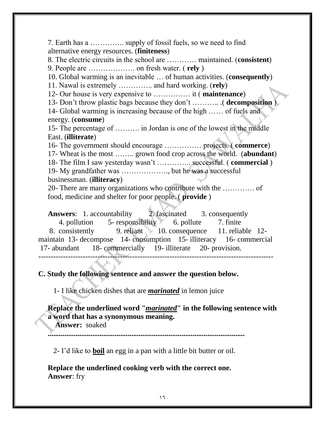7. Earth has a ………….. supply of fossil fuels, so we need to find alternative energy resources. (**finiteness**) 8. The electric circuits in the school are ………… maintained. (**consistent**) 9. People are ………………. on fresh water. ( **rely** ) 10. Global warming is an inevitable … of human activities. (**consequently**) 11. Nawal is extremely ………….. and hard working. (**rely**) 12- Our house is very expensive to …………… it ( **maintenance**) 13- Don't throw plastic bags because they don't ……….. .( **decomposition** ) 14- Global warming is increasing because of the high …… of fuels and energy. (**consume**) 15- The percentage of ………. in Jordan is one of the lowest in the middle East. (**illiterate**) 16- The government should encourage …………… projects. ( **commerce**) 17- Wheat is the most …….. grown food crop across the world. (**abundant**) 18- The film I saw yesterday wasn't ………….. successful. ( **commercial** ) 19- My grandfather was ………………., but he was a successful businessman. (**illiteracy**) 20- There are many organizations who contribute with the …………. of food, medicine and shelter for poor people. ( **provide** ) Answers: 1. accountability 2. fascinated 3. consequently 4. pollution 5- responsibility 6. pollute 7. finite 8. consistently 9. reliant 10. consequence 11. reliable 12-

maintain 13- decompose 14- consumption 15- illiteracy 16- commercial 17- abundant 18- commercially 19- illiterate 20- provision. -----------------------------------------------------------------------------------------------

**C. Study the following sentence and answer the question below.**

1- I like chicken dishes that are *marinated* in lemon juice

**Replace the underlined word "***marinated***" in the following sentence with a word that has a synonymous meaning.** 

 **Answer:** soaked

**..........................................................................................................**

2- I'd like to **boil** an egg in a pan with a little bit butter or oil.

**Replace the underlined cooking verb with the correct one. Answer**: fry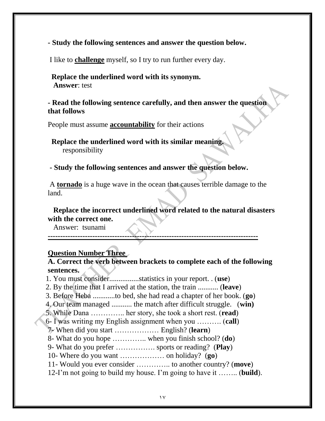**- Study the following sentences and answer the question below.**

I like to **challenge** myself, so I try to run further every day.

#### **Replace the underlined word with its synonym. Answer**: test

#### **- Read the following sentence carefully, and then answer the question that follows**

People must assume **accountability** for their actions

 **Replace the underlined word with its similar meaning.** responsibility

**- Study the following sentences and answer the question below.**

A **tornado** is a huge wave in the ocean that causes terrible damage to the land.

 **Replace the incorrect underlined word related to the natural disasters with the correct one.**

Answer: tsunami

**-------------------------------------------------------------------------------------**

#### **Question Number Three**

#### **A. Correct the verb between brackets to complete each of the following sentences.**

1. You must consider................statistics in your report. . (**use**)

2. By the time that I arrived at the station, the train ........... (**leave**)

3. Before Heba ............to bed, she had read a chapter of her book. (**go**)

4. Our team managed ........... the match after difficult struggle. (**win)**

5. While Dana ………….. her story, she took a short rest. (**read**)

6- I was writing my English assignment when you ………. (**call**)

7- When did you start ……………… English? (**learn**)

8- What do you hope ………….. when you finish school? (**do**)

9- What do you prefer ……………. sports or reading? (**Play**)

10- Where do you want ……………… on holiday? (**go**)

11- Would you ever consider ………….. to another country? (**move**)

12-I'm not going to build my house. I'm going to have it …….. (**build**).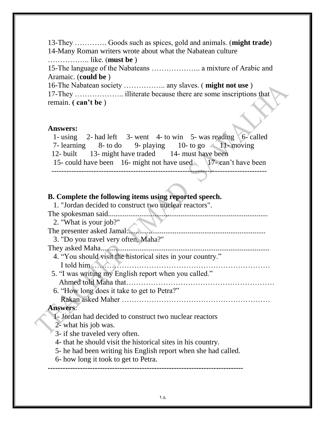13-They …………. Goods such as spices, gold and animals. (**might trade**) 14-Many Roman writers wrote about what the Nabatean culture …………….. like. (**must be** ) 15-The language of the Nabateans ……………….. a mixture of Arabic and Aramaic. (**could be** ) 16-The Nabatean society …………….. any slaves. ( **might not use** ) 17-They ……………….. illiterate because there are some inscriptions that remain. **( can't be** )

#### **Answers:**

1- using 2- had left 3- went 4- to win 5- was reading  $6$ - called 7- learning  $8-$  to do  $9-$  playing  $10-$  to go  $11-$  moving 12- built 13- might have traded 14- must have been 15- could have been 16- might not have used 17- can't have been ---------------------------------------------------------------------------------------

#### **B. Complete the following items using reported speech.**

| 1. "Jordan decided to construct two nuclear reactors".         |
|----------------------------------------------------------------|
| The spokesman said.                                            |
| 2. "What is your job?"                                         |
| The presenter asked Jamal                                      |
| 3. "Do you travel very often, Maha?"                           |
| They asked Maha                                                |
| 4. "You should visit the historical sites in your country."    |
| I told him                                                     |
| 5. "I was writing my English report when you called."          |
|                                                                |
| 6. "How long does it take to get to Petra?"                    |
|                                                                |
| <b>Answers:</b>                                                |
| 1- Jordan had decided to construct two nuclear reactors        |
| 2- what his job was.                                           |
| 3- if she traveled very often.                                 |
| 4- that he should visit the historical sites in his country.   |
| 5- he had been writing his English report when she had called. |
| 6- how long it took to get to Petra.                           |
|                                                                |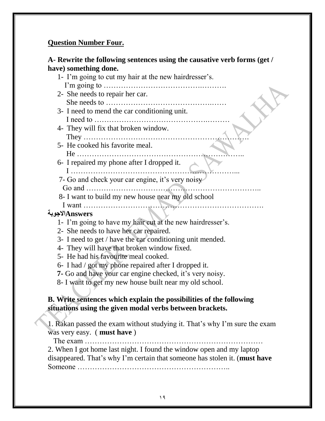#### **Question Number Four.**

#### **A- Rewrite the following sentences using the causative verb forms (get / have) something done.**

1- I'm going to cut my hair at the new hairdresser's. I'm going to ………………………………….………. 2- She needs to repair her car. She needs to …………………………………….…… 3- I need to mend the car conditioning unit. I need to ……………………………………….……… 4- They will fix that broken window. They …………………………………………………………. 5- He cooked his favorite meal. He ………………………………………………………….. 6- I repaired my phone after I dropped it. I …………………………………………………………... 7- Go and check your car engine, it's very noisy Go and …………………………………………………………….. 8- I want to build my new house near my old school I want ……………………………………………………………….  **Answersاالجوبة** 1- I'm going to have my hair cut at the new hairdresser's. 2- She needs to have her car repaired. 3- I need to get / have the car conditioning unit mended. 4- They will have that broken window fixed. 5- He had his favourite meal cooked. 6- I had / got my phone repaired after I dropped it.  **7-** Go and have your car engine checked, it's very noisy. 8- I want to get my new house built near my old school.

#### **B. Write sentences which explain the possibilities of the following situations using the given modal verbs between brackets.**

1. Rakan passed the exam without studying it. That's why I'm sure the exam was very easy. ( **must have** )

The exam ………………………………………………………………

2. When I got home last night. I found the window open and my laptop disappeared. That's why I'm certain that someone has stolen it. (**must have** Someone ……………………………………………………..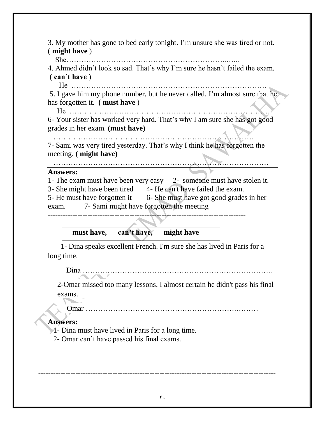3. My mother has gone to bed early tonight. I'm unsure she was tired or not. ( **might have** )

She………………………………………………………..…...

4. Ahmed didn't look so sad. That's why I'm sure he hasn't failed the exam. ( **can't have** )

He …………………………………………………………………….

5. I gave him my phone number, but he never called. I'm almost sure that he has forgotten it. **( must have** )

 He ……………………………………………………………………… 6- Your sister has worked very hard. That's why I am sure she has got good grades in her exam. **(must have)**

………………………………………………………………………

7- Sami was very tired yesterday. That's why I think he has forgotten the meeting. **( might have)**

#### **Answers:**

1- The exam must have been very easy 2- someone must have stolen it.

3- She might have been tired 4- He can't have failed the exam.

5- He must have forgotten it 6- She must have got good grades in her exam. 7- Sami might have forgotten the meeting

--------------------------------------------------------------------------------

#### **must have, can't have, might have**

……………………………………………………………………………

 1- Dina speaks excellent French. I'm sure she has lived in Paris for a long time.

Dina …………………………………………………………………..

2-Omar missed too many lessons. I almost certain he didn't pass his final exams.

Omar …………………………………………………….………

#### **Answers:**

1- Dina must have lived in Paris for a long time.

2- Omar can't have passed his final exams.

**------------------------------------------------------------------------------------------------**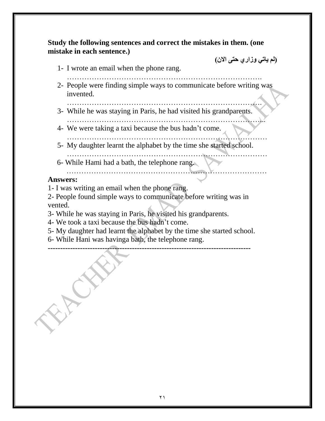**Study the following sentences and correct the mistakes in them. (one mistake in each sentence.)**

**)لم ياتي وزاري حتى االن(**

- 1- I wrote an email when the phone rang.
- 2- People were finding simple ways to communicate before writing was invented.
- ……………………………………………………………………. 3- While he was staying in Paris, he had visited his grandparents.
- ……………………………………………………………………... 4- We were taking a taxi because the bus hadn't come.
- ………………………………………………………………………
- 5- My daughter learnt the alphabet by the time she started school. ………………………………………………………………………
- 6- While Hami had a bath, the telephone rang.
- ………………………………………………………………………

#### **Answers:**

- 1- I was writing an email when the phone rang.
- 2- People found simple ways to communicate before writing was in vented.
- 3- While he was staying in Paris, he visited his grandparents.
- 4- We took a taxi because the bus hadn't come.
- 5- My daughter had learnt the alphabet by the time she started school.
- 6- While Hani was havinga bath, the telephone rang.

**----------------------------------------------------------------------------------**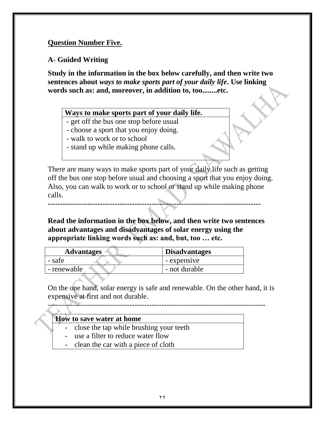#### **Question Number Five.**

#### **A- Guided Writing**

**Study in the information in the box below carefully, and then write two sentences about** *ways to make sports part of your daily life***. Use linking words such as: and, moreover, in addition to, too........etc.**

#### **Ways to make sports part of your daily life.**

**N** - get off the bus one stop before usual

- choose a sport that you enjoy doing.
- walk to work or to school
- stand up while making phone calls.

There are many ways to make sports part of your daily life such as getting off the bus one stop before usual and choosing a sport that you enjoy doing. Also, you can walk to work or to school or stand up while making phone calls.

**Read the information in the box below, and then write two sentences about advantages and disadvantages of solar energy using the appropriate linking words such as: and, but, too … etc.**

**--------------------------------------------------------------------------------------**

| <b>Advantages</b> | <b>Disadvantages</b> |  |
|-------------------|----------------------|--|
| - safe            | - expensive          |  |
| - renewable       | - not durable        |  |

On the one hand, solar energy is safe and renewable. On the other hand, it is expensive at first and not durable.

----------------------------------------------------------------------------------------

| <b>How to save water at home</b> |  |                                           |  |  |
|----------------------------------|--|-------------------------------------------|--|--|
|                                  |  | - close the tap while brushing your teeth |  |  |
|                                  |  | - use a filter to reduce water flow       |  |  |

- clean the car with a piece of cloth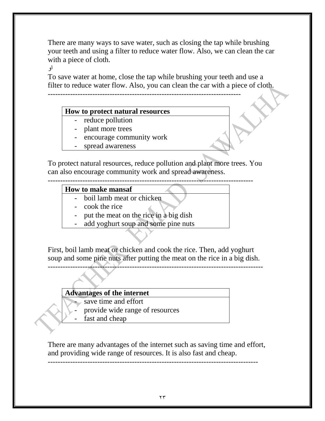There are many ways to save water, such as closing the tap while brushing your teeth and using a filter to reduce water flow. Also, we can clean the car with a piece of cloth.

او

To save water at home, close the tap while brushing your teeth and use a filter to reduce water flow. Also, you can clean the car with a piece of cloth. ------------------------------------------------------------------------------

#### **How to protect natural resources**

- reduce pollution
- plant more trees
- encourage community work
- spread awareness

To protect natural resources, reduce pollution and plant more trees. You can also encourage community work and spread awareness.

-----------------------------------------------------------------------------------

#### **How to make mansaf**

- boil lamb meat or chicken
- cook the rice
- put the meat on the rice in a big dish
- add yoghurt soup and some pine nuts

First, boil lamb meat or chicken and cook the rice. Then, add yoghurt soup and some pine nuts after putting the meat on the rice in a big dish. ---------------------------------------------------------------------------------------

#### **Advantages of the internet**

- save time and effort
- provide wide range of resources
- fast and cheap

There are many advantages of the internet such as saving time and effort, and providing wide range of resources. It is also fast and cheap.

-------------------------------------------------------------------------------------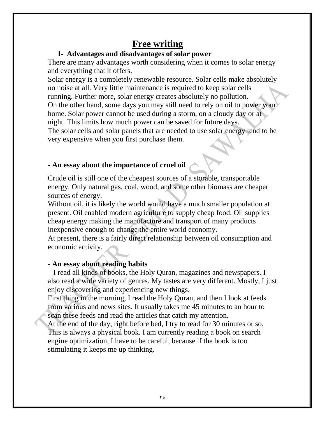# **Free writing**

## **1- Advantages and disadvantages of solar power**

There are many advantages worth considering when it comes to solar energy and everything that it offers.

Solar energy is a completely renewable resource. Solar cells make absolutely no noise at all. Very little maintenance is required to keep solar cells running. Further more, solar energy creates absolutely no pollution. On the other hand, some days you may still need to rely on oil to power your home. Solar power cannot be used during a storm, on a cloudy day or at night. This limits how much power can be saved for future days. The solar cells and solar panels that are needed to use solar energy tend to be very expensive when you first purchase them.

## - **An essay about the importance of cruel oil**

Crude oil is still one of the cheapest sources of a storable, transportable energy. Only natural gas, coal, wood, and some other biomass are cheaper sources of energy.

Without oil, it is likely the world would have a much smaller population at present. Oil enabled modern agriculture to supply cheap food. Oil supplies cheap energy making the manufacture and transport of many products inexpensive enough to change the entire world economy.

At present, there is a fairly direct relationship between oil consumption and economic activity.

## **- An essay about reading habits**

 I read all kinds of books, the Holy Quran, magazines and newspapers. I also read a wide variety of genres. My tastes are very different. Mostly, I just enjoy discovering and experiencing new things.

First thing in the morning, I read the Holy Quran, and then I look at feeds from various and news sites. It usually takes me 45 minutes to an hour to scan these feeds and read the articles that catch my attention.

At the end of the day, right before bed, I try to read for 30 minutes or so. This is always a physical book. I am currently reading a book on search engine optimization, I have to be careful, because if the book is too stimulating it keeps me up thinking.